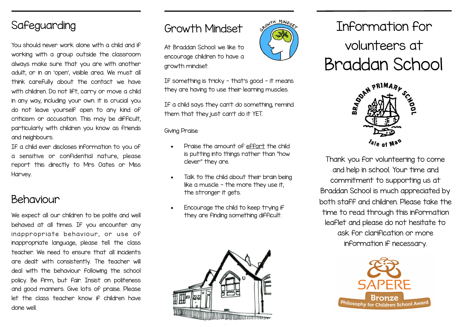## Safeguarding

You should never work alone with a child and if working with a group outside the classroom always make sure that you are with another adult, or in an 'open', visible area. We must all think carefully about the contact we have with children. Do not lift, carry or move a child in any way, including your own. it is crucial you do not leave yourself open to any kind of criticism or accusation. This may be difficult, particularly with children you know as friends and neighbours.

If a child ever discloses information to you of a sensitive or confidential nature, please report this directly to Mrs Oates or Miss Harvey.

## Behaviour

We expect all our children to be polite and well behaved at all times. If you encounter any in appropriate behaviour, or use of inappropriate language, please tell the class teacher. We need to ensure that all incidents are dealt with consistently. The teacher will deal with the behaviour following the school policy. Be firm, but fair. Insist on politeness and good manners. Give lots of praise. Please let the class teacher know if children have done well.

## Growth Mindset

At Braddan School we like to encourage children to have a growth mindset.

If something is tricky - that's good - it means they are having to use their learning muscles.

TH MINO

If a child says they can't do something, remind them that they just can't do it YET.

Giving Praise

- Praise the amount of effort the child is putting into things rather than "how clever" they are.
- Talk to the child about their brain being like a muscle - the more they use it, the stronger it gets.
- Encourage the child to keep trying if they are finding something difficult.







Thank you for volunteering to come and help in school. Your time and commitment to supporting us at Braddan School is much appreciated by both staff and children. Please take the time to read through this information leaflet and please do not hesitate to ask for clarification or more information if necessary.